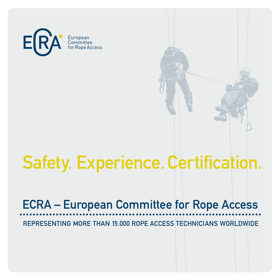

# Safety. Experience. Certification.

# ECRA – European Committee for Rope Access

REPRESENTING MORE THAN 15.000 ROPE ACCESS TECHNICIANS WORLDWIDE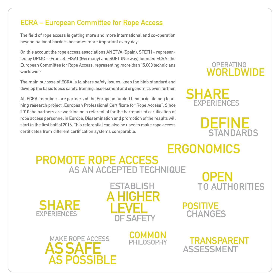## ECRA – European Committee for Rope Access

The field of rope access is getting more and more international and co-operation beyond national borders becomes more important every day.

On this account the rope access associations ANETVA (Spain), SFETH – represented by DPMC – (France), FISAT (Germany) and SOFT (Norway) founded ECRA, the European Committee for Rope Access, representing more than 15.000 technicians worldwide.

The main purpose of ECRA is to share safety issues, keep the high standard and develop the basic topics safety, training, assessment and ergonomics even further.

All ECRA-members are partners of the European funded Leonardo lifelong learning research project "European Professional Certificate for Rope Access". Since 2010 the partners are working on a referential for the harmonized certification of rope access personnel in Europe. Dissemination and promotion of the results will start in the first half of 2016. This referential can also be used to make rope access certificates from different certification systems comparable.

## OPERATING WORLDWIDE



 DEFINE **STANDARDS** 

## PROMOTE ROPE ACCESS AS AN ACCEPTED TECHNIQUE **ERGONOMICS**







**COMMON** PHII OSOPHY

 OPEN TO AUTHORITIES

POSITIVE **CHANGES** 

TRANSPARENT

ASSESSMENT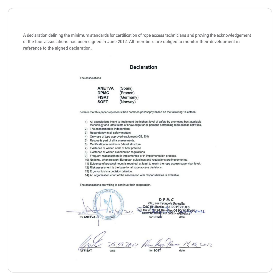A declaration defining the minimum standards for certification of rope access technicians and proving the acknowledgement of the four associations has been signed in June 2012. All members are obliged to monitor their development in reference to the signed declaration.

#### **Declaration**

The associations

| <b>ANETVA</b> | (Spain)   |
|---------------|-----------|
| <b>DPMC</b>   | (France)  |
| <b>FISAT</b>  | (Germany) |
| <b>SOFT</b>   | (Norway)  |

declare that this paper represents their common philosophy based on the following 14 criteria;

- 1) All associations intent to implement the highest level of safety by promoting best available technology and latest state of knowledge for all persons performing rope access activities.
- 2) The assessment is independent.
- 3) Redundancy in all safety matters
- 4) Only use of type approved equipment (CE, EN)
- 5) Rescue is part of all a assessments.
- 6) Certification in minimum 3-level structure
- 7) Existence of written code of best practice
- 8) Existence of written examination regulations
- 9) Frequent reassessment is implemented or in implementation process.
- 10) National, when relevant European quidelines and regulations are implemented.
- 11) Evidence of practical hours is required, at least to reach the rope access supervisor level.
- 12) Risk assessment is the base for all rope access decisions.
- 13) Ergonomics is a decision criterion.
- 14) An organization chart of the association with responsibilities is available.

The associations are willing to continue their cooperation.

DPMC rue Francois Gernelle Martin - 84120 PERTUIS ax 04 90 39/50 692 o 12 for ANETVA for DPM All date date 25.05 2012 Him Hup Jan 14.06, 2012